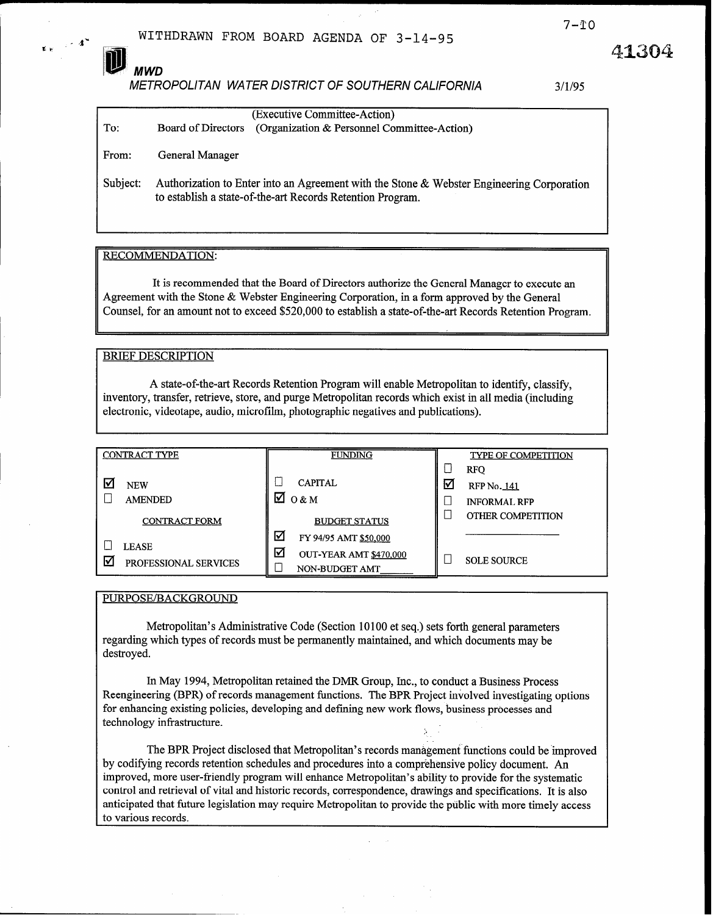**MWD** 

 $\sim 4^{\circ}$ 

METROPOLITAN WATER DISTRICT OF SOUTHERN CALIFORNIA 3/l/95

| To:      | (Executive Committee-Action)<br>(Organization & Personnel Committee-Action)<br><b>Board of Directors</b>                                                |
|----------|---------------------------------------------------------------------------------------------------------------------------------------------------------|
| From:    | General Manager                                                                                                                                         |
| Subject: | Authorization to Enter into an Agreement with the Stone & Webster Engineering Corporation<br>to establish a state-of-the-art Records Retention Program. |

### RECOMMENDATION:

It is recommended that the Board of Directors authorize the General Manager to execute an Agreement with the Stone & Webster Engineering Corporation, in a form approved by the General Counsel, for an amount not to exceed \$520,000 to establish a state-of-the-art Records Retention Program.

## **BRIEF DESCRIPTION**

A state-of-the-art Records Retention Program will enable Metropolitan to identify, classify, inventory, transfer, retrieve, store, and purge Metropolitan records which exist in all media (including electronic, videotape, audio, microfilm, photographic negatives and publications).

|   | <b>CONTRACT TYPE</b>         | <b>FUNDING</b>                                |   | <b>TYPE OF COMPETITION</b>                              |
|---|------------------------------|-----------------------------------------------|---|---------------------------------------------------------|
|   | <b>NEW</b><br><b>AMENDED</b> | <b>CAPITAL</b><br>М<br>0 & M                  | ☑ | <b>RFO</b><br><b>RFP No. 141</b><br><b>INFORMAL RFP</b> |
|   | <b>CONTRACT FORM</b>         | <b>BUDGET STATUS</b>                          |   | OTHER COMPETITION                                       |
|   | <b>LEASE</b>                 | ☑<br>FY 94/95 AMT \$50,000                    |   |                                                         |
| W | PROFESSIONAL SERVICES        | ☑<br>OUT-YEAR AMT \$470,000<br>NON-BUDGET AMT |   | <b>SOLE SOURCE</b>                                      |

PURPOSE/BACKGROUND

Metropolitan's Administrative Code (Section 10 100 et seq.) sets forth general parameters regarding which types of records must be permanently maintained, and which documents may be destroyed.

In May 1994, Metropolitan retained the DMR Group, Inc., to conduct a Business Process Reengineering (BPR) of records management functions. The BPR Project involved investigating options for enhancing existing policies, developing and defining new work flows, business processes and technology infastructure.

The BPR Project disclosed that Metropolitan's records management functions could be improved by codifying records retention schedules and procedures into a comprehensive policy document. An improved, more user-friendly program will enhance Metropolitan's ability to provide for the systematic control and retrieval of vital and historic records, correspondence, drawings and specifications. It is also anticipated that future legislation may require Metropolitan to provide the public with more timely access to various records.

41304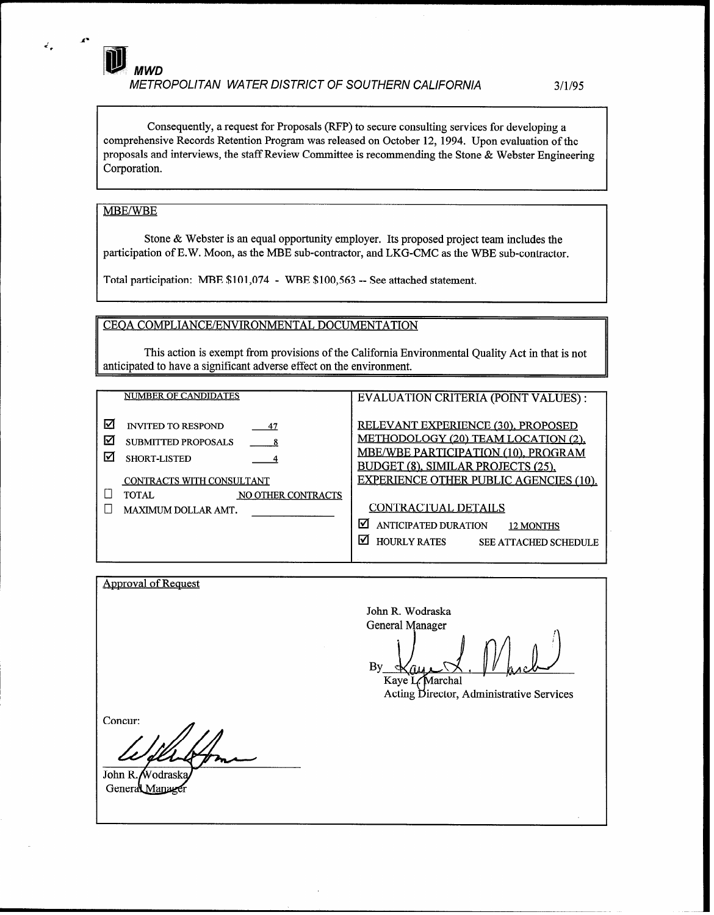Consequently, a request for Proposals (RFP) to secure consulting services for developing a comprehensive Records Retention Program was released on October 12, 1994. Upon evaluation of the proposals and interviews, the staff Review Committee is recommending the Stone & Webster Engineering Corporation.

## MBE/WBE

 $\epsilon'$ 

Stone & Webster is an equal opportunity employer. Its proposed project team includes the participation of E.W. Moon, as the MBE sub-contractor, and LKG-CMC as the WBE sub-contractor.

Total participation: MBE \$101,074 - WBE \$100,563 -- See attached statement.

CEQA COMPLIANCE/ENVIRONMENTAL DOCUMENTATION

This action is exempt from provisions of the California Environmental Quality Act in that is not anticipated to have a significant adverse effect on the environment.

NUMBER OF CANDIDATES | EVALUATION CRITERIA (POINT VALUES) :  $\boxtimes$  INVITED TO RESPOND  $\frac{47}{4}$  RELEVANT EXPERIENCE (30), PROPOSED  $\boxtimes$  SUBMITTED PROPOSALS <u>8</u> METHODOLOGY (20) TEAM LOCATION (2), MBE/WBE PARTICIPATION (10). PROGRAM  $\boxtimes$  SHORT-LISTED  $\overline{4}$ BUDGET (8), SIMILAR PROJECTS (25), CONTRACTS WITH CONSULTANT NO OTHER CONTRACTS EXPERIENCE OTHER PUBLIC AGENCIES (10). NO OTHER CONTRACTS  $\Box$  MAXIMUM DOLLAR AMT. CONTRACTUAL DETAILS  $\boxtimes$  ANTICIPATED DURATION 12 MONTHS  $\Box$  HOURLY RATES SEE ATTACHED SCHEDULE

**Approval of Request** John R. Wodraska **General Manager** By Kaye L. Marchal Acting Director, Administrative Services Concur: John R. Wodrask General Manage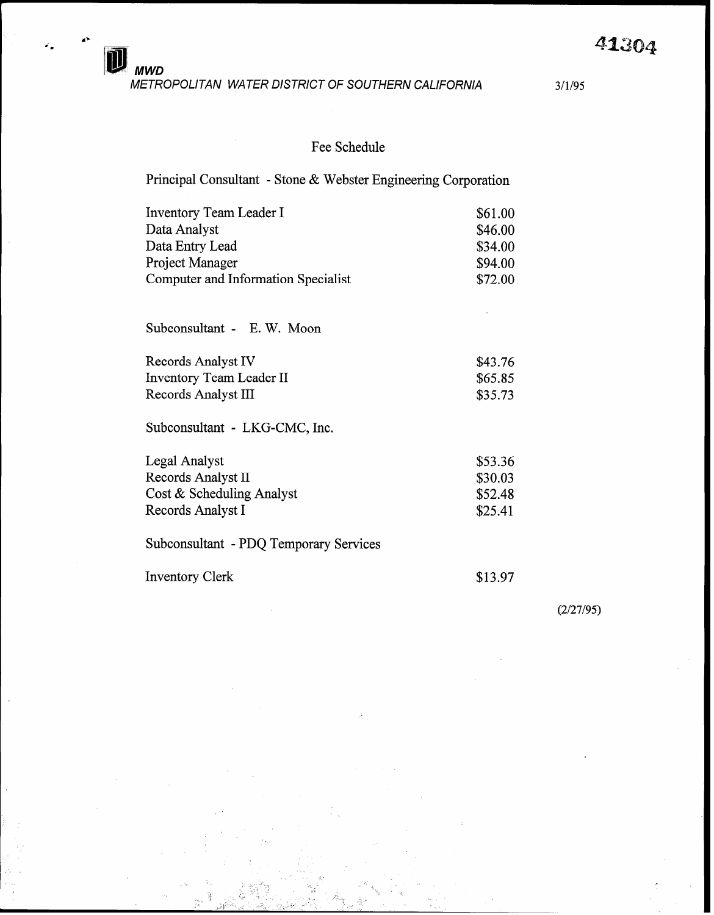METROPOLITAN WATER DISTRICT OF SOUTHERN CALIFORNIA 3/l/95

MWD

## Fee Schedule

Principal Consultant - Stone & Webster Engineering Corporation

| <b>Inventory Team Leader I</b>             | \$61.00 |
|--------------------------------------------|---------|
| Data Analyst                               | \$46.00 |
| Data Entry Lead                            | \$34.00 |
| <b>Project Manager</b>                     | \$94.00 |
| <b>Computer and Information Specialist</b> | \$72.00 |
|                                            |         |
| Subconsultant - E.W. Moon                  |         |
| Records Analyst IV                         | \$43.76 |
| <b>Inventory Team Leader II</b>            | \$65.85 |
| Records Analyst III                        | \$35.73 |
| Subconsultant - LKG-CMC, Inc.              |         |
| Legal Analyst                              | \$53.36 |
| Records Analyst II                         | \$30.03 |
| Cost & Scheduling Analyst                  | \$52.48 |
| Records Analyst I                          | \$25.41 |
| Subconsultant - PDQ Temporary Services     |         |
| <b>Inventory Clerk</b>                     | \$13.97 |
|                                            |         |

: . . . .

. L . . . ..A \_1

 $(2/27/95)$